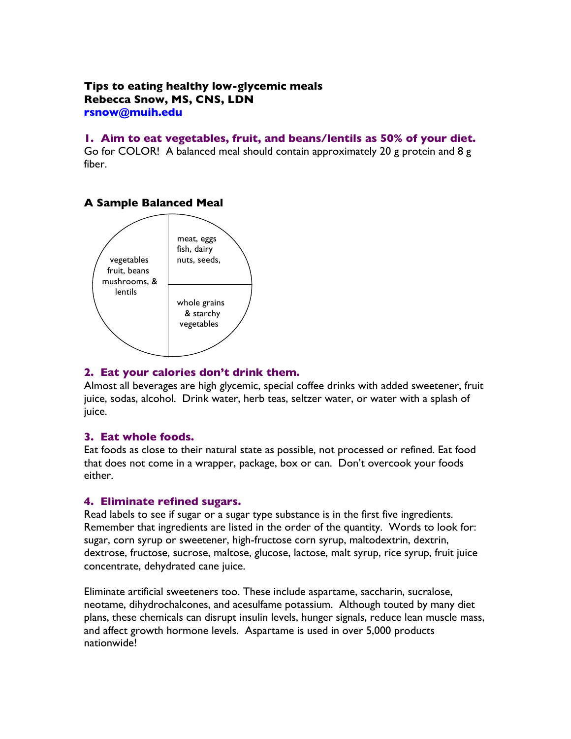### **Tips to eating healthy low-glycemic meals Rebecca Snow, MS, CNS, LDN rsnow@muih.edu**

#### **1. Aim to eat vegetables, fruit, and beans/lentils as 50% of your diet.**

Go for COLOR! A balanced meal should contain approximately 20 g protein and 8 g fiber.

# **A Sample Balanced Meal**



## **2. Eat your calories don't drink them.**

Almost all beverages are high glycemic, special coffee drinks with added sweetener, fruit juice, sodas, alcohol. Drink water, herb teas, seltzer water, or water with a splash of juice.

# **3. Eat whole foods.**

Eat foods as close to their natural state as possible, not processed or refined. Eat food that does not come in a wrapper, package, box or can. Don't overcook your foods either.

#### **4. Eliminate refined sugars.**

Read labels to see if sugar or a sugar type substance is in the first five ingredients. Remember that ingredients are listed in the order of the quantity. Words to look for: sugar, corn syrup or sweetener, high-fructose corn syrup, maltodextrin, dextrin, dextrose, fructose, sucrose, maltose, glucose, lactose, malt syrup, rice syrup, fruit juice concentrate, dehydrated cane juice.

Eliminate artificial sweeteners too. These include aspartame, saccharin, sucralose, neotame, dihydrochalcones, and acesulfame potassium. Although touted by many diet plans, these chemicals can disrupt insulin levels, hunger signals, reduce lean muscle mass, and affect growth hormone levels. Aspartame is used in over 5,000 products nationwide!